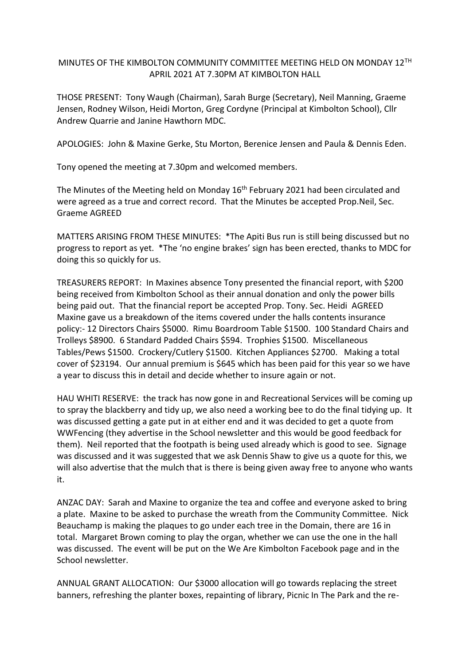## MINUTES OF THE KIMBOLTON COMMUNITY COMMITTEE MEETING HELD ON MONDAY 12TH APRIL 2021 AT 7.30PM AT KIMBOLTON HALL

THOSE PRESENT: Tony Waugh (Chairman), Sarah Burge (Secretary), Neil Manning, Graeme Jensen, Rodney Wilson, Heidi Morton, Greg Cordyne (Principal at Kimbolton School), Cllr Andrew Quarrie and Janine Hawthorn MDC.

APOLOGIES: John & Maxine Gerke, Stu Morton, Berenice Jensen and Paula & Dennis Eden.

Tony opened the meeting at 7.30pm and welcomed members.

The Minutes of the Meeting held on Monday 16<sup>th</sup> February 2021 had been circulated and were agreed as a true and correct record. That the Minutes be accepted Prop.Neil, Sec. Graeme AGREED

MATTERS ARISING FROM THESE MINUTES: \*The Apiti Bus run is still being discussed but no progress to report as yet. \*The 'no engine brakes' sign has been erected, thanks to MDC for doing this so quickly for us.

TREASURERS REPORT: In Maxines absence Tony presented the financial report, with \$200 being received from Kimbolton School as their annual donation and only the power bills being paid out. That the financial report be accepted Prop. Tony. Sec. Heidi AGREED Maxine gave us a breakdown of the items covered under the halls contents insurance policy:- 12 Directors Chairs \$5000. Rimu Boardroom Table \$1500. 100 Standard Chairs and Trolleys \$8900. 6 Standard Padded Chairs \$594. Trophies \$1500. Miscellaneous Tables/Pews \$1500. Crockery/Cutlery \$1500. Kitchen Appliances \$2700. Making a total cover of \$23194. Our annual premium is \$645 which has been paid for this year so we have a year to discuss this in detail and decide whether to insure again or not.

HAU WHITI RESERVE: the track has now gone in and Recreational Services will be coming up to spray the blackberry and tidy up, we also need a working bee to do the final tidying up. It was discussed getting a gate put in at either end and it was decided to get a quote from WWFencing (they advertise in the School newsletter and this would be good feedback for them). Neil reported that the footpath is being used already which is good to see. Signage was discussed and it was suggested that we ask Dennis Shaw to give us a quote for this, we will also advertise that the mulch that is there is being given away free to anyone who wants it.

ANZAC DAY: Sarah and Maxine to organize the tea and coffee and everyone asked to bring a plate. Maxine to be asked to purchase the wreath from the Community Committee. Nick Beauchamp is making the plaques to go under each tree in the Domain, there are 16 in total. Margaret Brown coming to play the organ, whether we can use the one in the hall was discussed. The event will be put on the We Are Kimbolton Facebook page and in the School newsletter.

ANNUAL GRANT ALLOCATION: Our \$3000 allocation will go towards replacing the street banners, refreshing the planter boxes, repainting of library, Picnic In The Park and the re